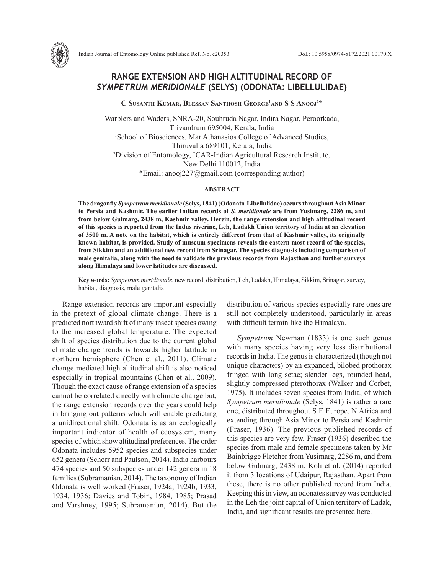

**C Susanth Kumar, Blessan Santhosh George1 and S S Anooj2 \***

Warblers and Waders, SNRA-20, Souhruda Nagar, Indira Nagar, Peroorkada, Trivandrum 695004, Kerala, India 1 School of Biosciences, Mar Athanasios College of Advanced Studies, Thiruvalla 689101, Kerala, India 2 Division of Entomology, ICAR-Indian Agricultural Research Institute, New Delhi 110012, India \*Email: anooj227@gmail.com (corresponding author)

## **ABSTRACT**

**The dragonfly** *Sympetrum meridionale* **(Selys, 1841) (Odonata-Libellulidae) occurs throughout Asia Minor to Persia and Kashmir. The earlier Indian records of** *S. meridionale* **are from Yusimarg, 2286 m, and from below Gulmarg, 2438 m, Kashmir valley. Herein, the range extension and high altitudinal record of this species is reported from the Indus riverine, Leh, Ladakh Union territory of India at an elevation of 3500 m. A note on the habitat, which is entirely different from that of Kashmir valley, its originally known habitat, is provided. Study of museum specimens reveals the eastern most record of the species, from Sikkim and an additional new record from Srinagar. The species diagnosis including comparison of male genitalia, along with the need to validate the previous records from Rajasthan and further surveys along Himalaya and lower latitudes are discussed.**

**Key words:** *Sympetrum meridionale*, new record, distribution, Leh, Ladakh, Himalaya, Sikkim, Srinagar, survey, habitat, diagnosis, male genitalia

Range extension records are important especially in the pretext of global climate change. There is a predicted northward shift of many insect species owing to the increased global temperature. The expected shift of species distribution due to the current global climate change trends is towards higher latitude in northern hemisphere (Chen et al., 2011). Climate change mediated high altitudinal shift is also noticed especially in tropical mountains (Chen et al., 2009). Though the exact cause of range extension of a species cannot be correlated directly with climate change but, the range extension records over the years could help in bringing out patterns which will enable predicting a unidirectional shift. Odonata is as an ecologically important indicator of health of ecosystem, many species of which show altitudinal preferences. The order Odonata includes 5952 species and subspecies under 652 genera (Schorr and Paulson, 2014). India harbours 474 species and 50 subspecies under 142 genera in 18 families (Subramanian, 2014). The taxonomy of Indian Odonata is well worked (Fraser, 1924a, 1924b, 1933, 1934, 1936; Davies and Tobin, 1984, 1985; Prasad and Varshney, 1995; Subramanian, 2014). But the distribution of various species especially rare ones are still not completely understood, particularly in areas with difficult terrain like the Himalaya.

*Sympetrum* Newman (1833) is one such genus with many species having very less distributional records in India. The genus is characterized (though not unique characters) by an expanded, bilobed prothorax fringed with long setae; slender legs, rounded head, slightly compressed pterothorax (Walker and Corbet, 1975). It includes seven species from India, of which *Sympetrum meridionale* (Selys, 1841) is rather a rare one, distributed throughout S E Europe, N Africa and extending through Asia Minor to Persia and Kashmir (Fraser, 1936). The previous published records of this species are very few. Fraser (1936) described the species from male and female specimens taken by Mr Bainbrigge Fletcher from Yusimarg, 2286 m, and from below Gulmarg, 2438 m. Koli et al. (2014) reported it from 3 locations of Udaipur, Rajasthan. Apart from these, there is no other published record from India. Keeping this in view, an odonates survey was conducted in the Leh the joint capital of Union territory of Ladak, India, and significant results are presented here.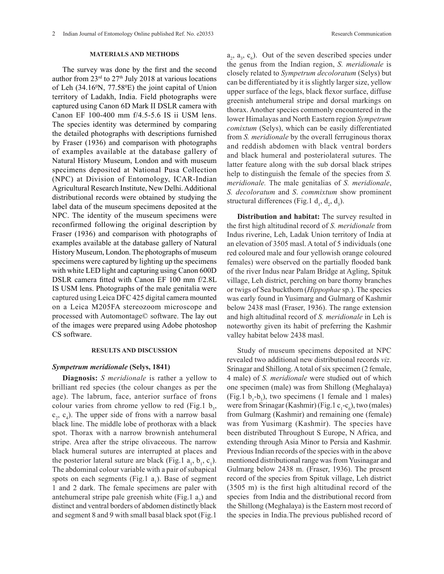The survey was done by the first and the second author from  $23<sup>rd</sup>$  to  $27<sup>th</sup>$  July 2018 at various locations of Leh  $(34.16^{\circ}N, 77.58^{\circ}E)$  the joint capital of Union territory of Ladakh, India. Field photographs were captured using Canon 6D Mark II DSLR camera with Canon EF 100-400 mm f/4.5-5.6 IS ii USM lens. The species identity was determined by comparing the detailed photographs with descriptions furnished by Fraser (1936) and comparison with photographs of examples available at the database gallery of Natural History Museum, London and with museum specimens deposited at National Pusa Collection (NPC) at Division of Entomology, ICAR-Indian Agricultural Research Institute, New Delhi. Additional distributional records were obtained by studying the label data of the museum specimens deposited at the NPC. The identity of the museum specimens were reconfirmed following the original description by Fraser (1936) and comparison with photographs of examples available at the database gallery of Natural History Museum, London. The photographs of museum specimens were captured by lighting up the specimens with white LED light and capturing using Canon 600D DSLR camera fitted with Canon EF 100 mm f/2.8L IS USM lens. Photographs of the male genitalia were captured using Leica DFC 425 digital camera mounted on a Leica M205FA stereozoom microscope and processed with Automontage© software. The lay out of the images were prepared using Adobe photoshop CS software.

## **RESULTS AND DISCUSSION**

## *Sympetrum meridionale* **(Selys, 1841)**

**Diagnosis:** *S meridionale* is rather a yellow to brilliant red species (the colour changes as per the age). The labrum, face, anterior surface of frons colour varies from chrome yellow to red (Fig.1  $b_3$ ,  $c_2$ ,  $c_4$ ). The upper side of frons with a narrow basal black line. The middle lobe of prothorax with a black spot. Thorax with a narrow brownish antehumeral stripe. Area after the stripe olivaceous. The narrow black humeral sutures are interrupted at places and the posterior lateral suture are black (Fig.1  $a_1$ ,  $b_1$ ,  $c_1$ ). The abdominal colour variable with a pair of subapical spots on each segments (Fig.1  $a_1$ ). Base of segment 1 and 2 dark. The female specimens are paler with antehumeral stripe pale greenish white (Fig.1  $a_2$ ) and distinct and ventral borders of abdomen distinctly black and segment 8 and 9 with small basal black spot (Fig.1

 $a_2$ ,  $a_3$ ,  $c_6$ ). Out of the seven described species under the genus from the Indian region, *S. meridionale* is closely related to *Sympetrum decoloratum* (Selys) but can be differentiated by it is slightly larger size, yellow upper surface of the legs, black flexor surface, diffuse greenish antehumeral stripe and dorsal markings on thorax. Another species commonly encountered in the lower Himalayas and North Eastern region *Sympetrum comixtum* (Selys), which can be easily differentiated from *S. meridionale* by the overall ferruginous thorax and reddish abdomen with black ventral borders and black humeral and posteriolateral sutures. The latter feature along with the sub dorsal black stripes help to distinguish the female of the species from *S. meridionale.* The male genitalias of *S. meridionale*, *S. decoloratum* and *S*. *commixtum* show prominent structural differences (Fig.1  $d_1$ ,  $d_2$ ,  $d_3$ ).

**Distribution and habitat:** The survey resulted in the first high altitudinal record of *S. meridionale* from Indus riverine, Leh, Ladak Union territory of India at an elevation of 3505 masl. A total of 5 individuals (one red coloured male and four yellowish orange coloured females) were observed on the partially flooded bank of the river Indus near Palam Bridge at Agling, Spituk village, Leh district, perching on bare thorny branches or twigs of Sea buckthorn (*Hippophae* sp.). The species was early found in Yusimarg and Gulmarg of Kashmir below 2438 masl (Fraser, 1936). The range extension and high altitudinal record of *S. meridionale* in Leh is noteworthy given its habit of preferring the Kashmir valley habitat below 2438 masl.

Study of museum specimens deposited at NPC revealed two additional new distributional records *viz*. Srinagar and Shillong. A total of six specimen (2 female, 4 male) of *S. meridionale* were studied out of which one specimen (male) was from Shillong (Meghalaya) (Fig.1  $b_1$ - $b_3$ ), two specimens (1 female and 1 males) were from Srinagar (Kashmir) (Fig.  $1$  c<sub>1</sub>-c<sub>6</sub>), two (males) from Gulmarg (Kashmir) and remaining one (female) was from Yusimarg (Kashmir). The species have been distributed Throughout S Europe, N Africa, and extending through Asia Minor to Persia and Kashmir. Previous Indian records of the species with in the above mentioned distributional range was from Yusinagar and Gulmarg below 2438 m. (Fraser, 1936). The present record of the species from Spituk village, Leh district (3505 m) is the first high altitudinal record of the species from India and the distributional record from the Shillong (Meghalaya) is the Eastern most record of the species in India.The previous published record of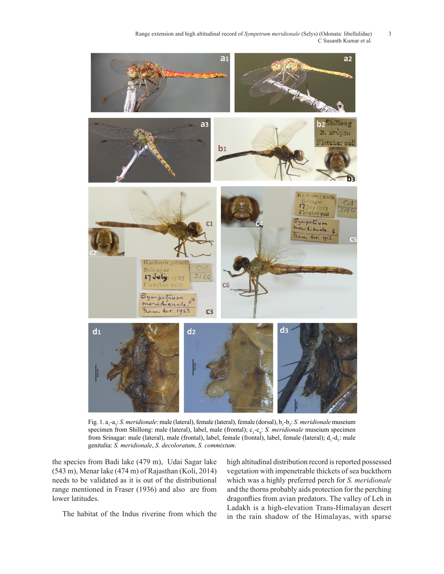Range extension and high altitudinal record of *Sympetrum meridionale* (Selys) (Odonata: libellulidae) 3 C Susanth Kumar et al.



Fig. 1. a<sub>1</sub>-a<sub>3</sub>: *S. meridionale*: male (lateral), female (lateral), female (dorsal), b<sub>1</sub>-b<sub>3</sub>: *S. meridionale* museium specimen from Shillong: male (lateral), label, male (frontal); c<sub>1</sub>-c<sub>6</sub>: *S. meridionale* museium specimen from Srinagar: male (lateral), male (frontal), label, female (frontal), label, female (lateral); d<sub>1</sub>-d<sub>3</sub>: male genitalia: *S. meridionale*, *S. decoloratum*, *S. commixtum*.

the species from Badi lake (479 m), Udai Sagar lake (543 m), Menar lake (474 m) of Rajasthan (Koli, 2014) needs to be validated as it is out of the distributional range mentioned in Fraser (1936) and also are from lower latitudes.

The habitat of the Indus riverine from which the

high altitudinal distribution record is reported possessed vegetation with impenetrable thickets of sea buckthorn which was a highly preferred perch for *S. meridionale* and the thorns probably aids protection for the perching dragonflies from avian predators. The valley of Leh in Ladakh is a high-elevation Trans-Himalayan desert in the rain shadow of the Himalayas, with sparse